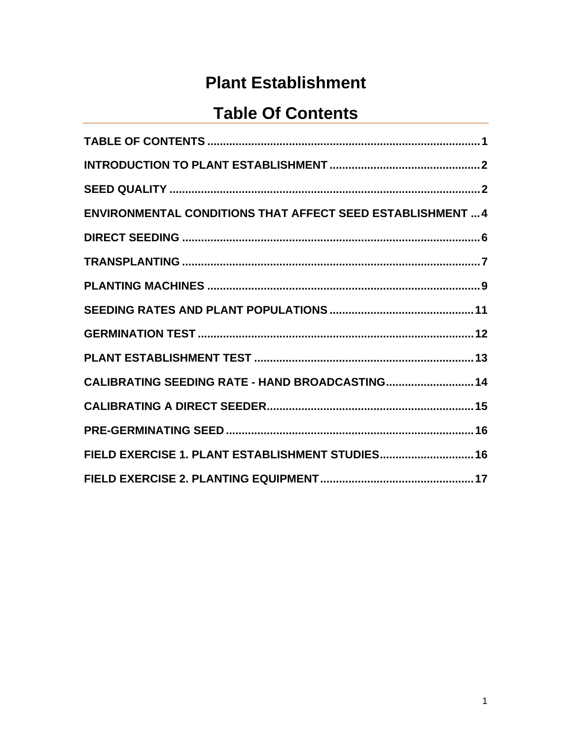# **Plant Establishment**

## **Table Of Contents**

<span id="page-0-0"></span>

| <b>ENVIRONMENTAL CONDITIONS THAT AFFECT SEED ESTABLISHMENT  4</b> |
|-------------------------------------------------------------------|
|                                                                   |
|                                                                   |
|                                                                   |
|                                                                   |
|                                                                   |
|                                                                   |
| CALIBRATING SEEDING RATE - HAND BROADCASTING 14                   |
|                                                                   |
|                                                                   |
| FIELD EXERCISE 1. PLANT ESTABLISHMENT STUDIES 16                  |
|                                                                   |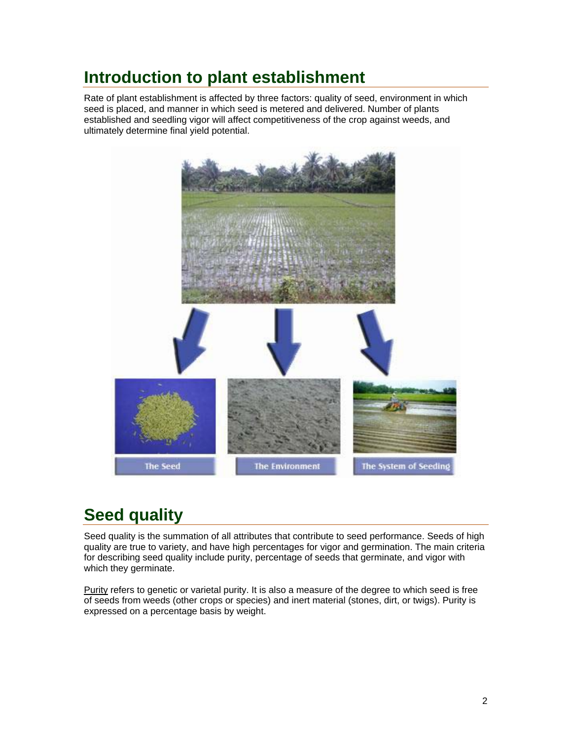## <span id="page-1-0"></span>**Introduction to plant establishment**

Rate of plant establishment is affected by three factors: quality of seed, environment in which seed is placed, and manner in which seed is metered and delivered. Number of plants established and seedling vigor will affect competitiveness of the crop against weeds, and ultimately determine final yield potential.



# **Seed quality**

Seed quality is the summation of all attributes that contribute to seed performance. Seeds of high quality are true to variety, and have high percentages for vigor and germination. The main criteria for describing seed quality include purity, percentage of seeds that germinate, and vigor with which they germinate.

Purity refers to genetic or varietal purity. It is also a measure of the degree to which seed is free of seeds from weeds (other crops or species) and inert material (stones, dirt, or twigs). Purity is expressed on a percentage basis by weight.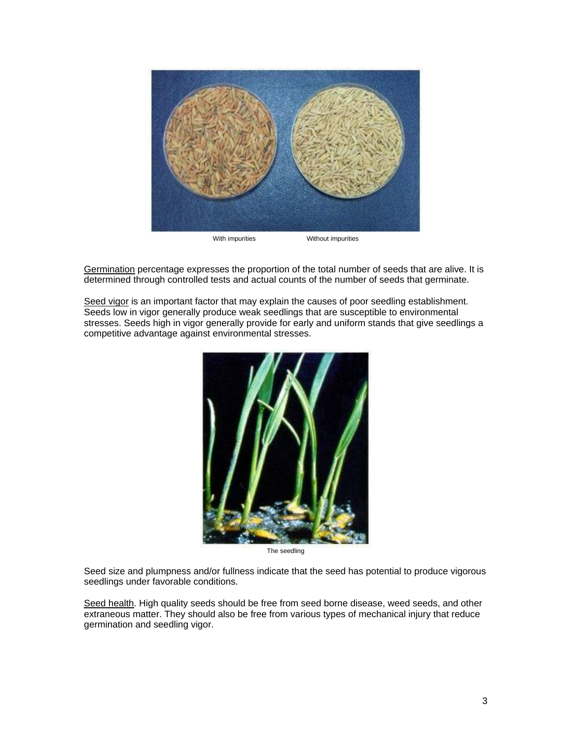

Germination percentage expresses the proportion of the total number of seeds that are alive. It is determined through controlled tests and actual counts of the number of seeds that germinate.

Seed vigor is an important factor that may explain the causes of poor seedling establishment. Seeds low in vigor generally produce weak seedlings that are susceptible to environmental stresses. Seeds high in vigor generally provide for early and uniform stands that give seedlings a competitive advantage against environmental stresses.



The seedling

Seed size and plumpness and/or fullness indicate that the seed has potential to produce vigorous seedlings under favorable conditions.

Seed health. High quality seeds should be free from seed borne disease, weed seeds, and other extraneous matter. They should also be free from various types of mechanical injury that reduce germination and seedling vigor.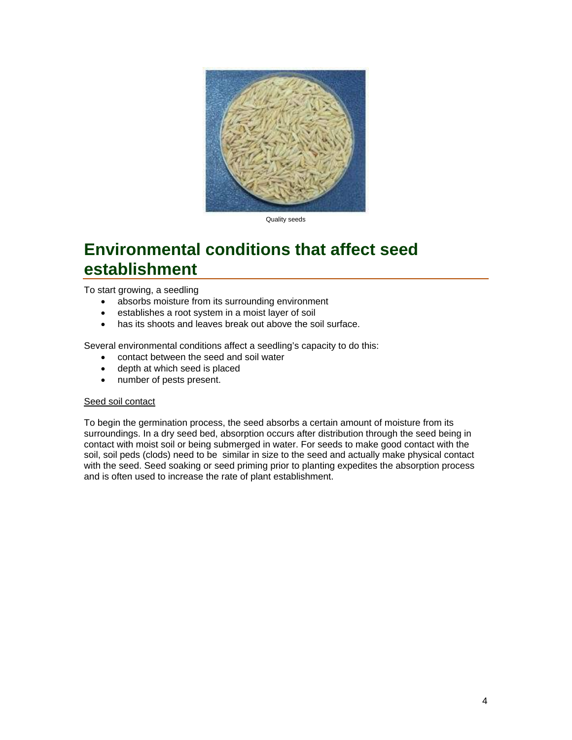<span id="page-3-0"></span>

Quality seeds

### **Environmental conditions that affect seed establishment**

To start growing, a seedling

- absorbs moisture from its surrounding environment
- establishes a root system in a moist layer of soil
- has its shoots and leaves break out above the soil surface.

Several environmental conditions affect a seedling's capacity to do this:

- contact between the seed and soil water
- depth at which seed is placed
- number of pests present.

#### Seed soil contact

To begin the germination process, the seed absorbs a certain amount of moisture from its surroundings. In a dry seed bed, absorption occurs after distribution through the seed being in contact with moist soil or being submerged in water. For seeds to make good contact with the soil, soil peds (clods) need to be similar in size to the seed and actually make physical contact with the seed. Seed soaking or seed priming prior to planting expedites the absorption process and is often used to increase the rate of plant establishment.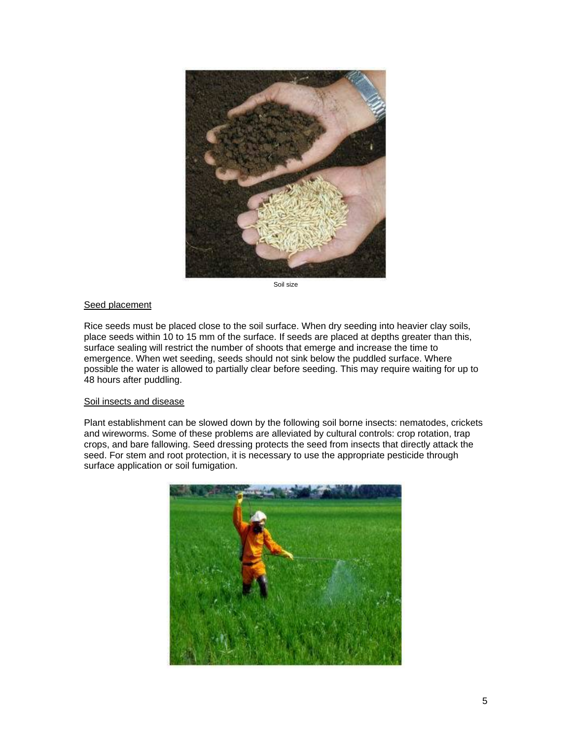

Soil size

#### **Seed placement**

Rice seeds must be placed close to the soil surface. When dry seeding into heavier clay soils, place seeds within 10 to 15 mm of the surface. If seeds are placed at depths greater than this, surface sealing will restrict the number of shoots that emerge and increase the time to emergence. When wet seeding, seeds should not sink below the puddled surface. Where possible the water is allowed to partially clear before seeding. This may require waiting for up to 48 hours after puddling.

#### Soil insects and disease

Plant establishment can be slowed down by the following soil borne insects: nematodes, crickets and wireworms. Some of these problems are alleviated by cultural controls: crop rotation, trap crops, and bare fallowing. Seed dressing protects the seed from insects that directly attack the seed. For stem and root protection, it is necessary to use the appropriate pesticide through surface application or soil fumigation.

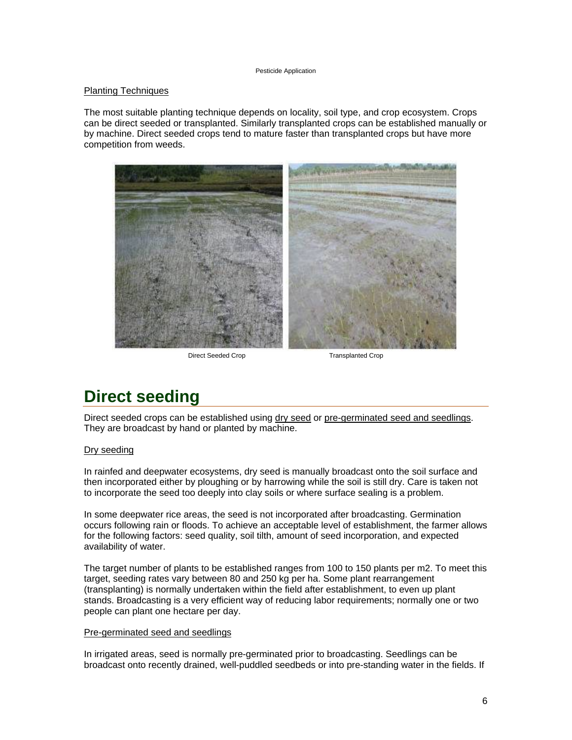#### Pesticide Application

#### <span id="page-5-0"></span>Planting Techniques

The most suitable planting technique depends on locality, soil type, and crop ecosystem. Crops can be direct seeded or transplanted. Similarly transplanted crops can be established manually or by machine. Direct seeded crops tend to mature faster than transplanted crops but have more competition from weeds.



Direct Seeded Crop Transplanted Crop

## **Direct seeding**

Direct seeded crops can be established using dry seed or pre-germinated seed and seedlings. They are broadcast by hand or planted by machine.

#### Dry seeding

In rainfed and deepwater ecosystems, dry seed is manually broadcast onto the soil surface and then incorporated either by ploughing or by harrowing while the soil is still dry. Care is taken not to incorporate the seed too deeply into clay soils or where surface sealing is a problem.

In some deepwater rice areas, the seed is not incorporated after broadcasting. Germination occurs following rain or floods. To achieve an acceptable level of establishment, the farmer allows for the following factors: seed quality, soil tilth, amount of seed incorporation, and expected availability of water.

The target number of plants to be established ranges from 100 to 150 plants per m2. To meet this target, seeding rates vary between 80 and 250 kg per ha. Some plant rearrangement (transplanting) is normally undertaken within the field after establishment, to even up plant stands. Broadcasting is a very efficient way of reducing labor requirements; normally one or two people can plant one hectare per day.

#### Pre-germinated seed and seedlings

In irrigated areas, seed is normally pre-germinated prior to broadcasting. Seedlings can be broadcast onto recently drained, well-puddled seedbeds or into pre-standing water in the fields. If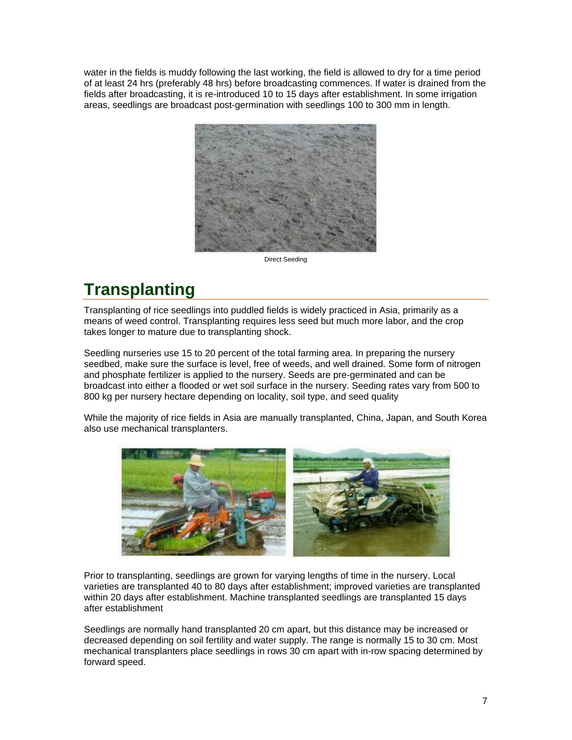<span id="page-6-0"></span>water in the fields is muddy following the last working, the field is allowed to dry for a time period of at least 24 hrs (preferably 48 hrs) before broadcasting commences. If water is drained from the fields after broadcasting, it is re-introduced 10 to 15 days after establishment. In some irrigation areas, seedlings are broadcast post-germination with seedlings 100 to 300 mm in length.



Direct Seeding

# **Transplanting**

Transplanting of rice seedlings into puddled fields is widely practiced in Asia, primarily as a means of weed control. Transplanting requires less seed but much more labor, and the crop takes longer to mature due to transplanting shock.

Seedling nurseries use 15 to 20 percent of the total farming area. In preparing the nursery seedbed, make sure the surface is level, free of weeds, and well drained. Some form of nitrogen and phosphate fertilizer is applied to the nursery. Seeds are pre-germinated and can be broadcast into either a flooded or wet soil surface in the nursery. Seeding rates vary from 500 to 800 kg per nursery hectare depending on locality, soil type, and seed quality

While the majority of rice fields in Asia are manually transplanted, China, Japan, and South Korea also use mechanical transplanters.



Prior to transplanting, seedlings are grown for varying lengths of time in the nursery. Local varieties are transplanted 40 to 80 days after establishment; improved varieties are transplanted within 20 days after establishment. Machine transplanted seedlings are transplanted 15 days after establishment

Seedlings are normally hand transplanted 20 cm apart, but this distance may be increased or decreased depending on soil fertility and water supply. The range is normally 15 to 30 cm. Most mechanical transplanters place seedlings in rows 30 cm apart with in-row spacing determined by forward speed.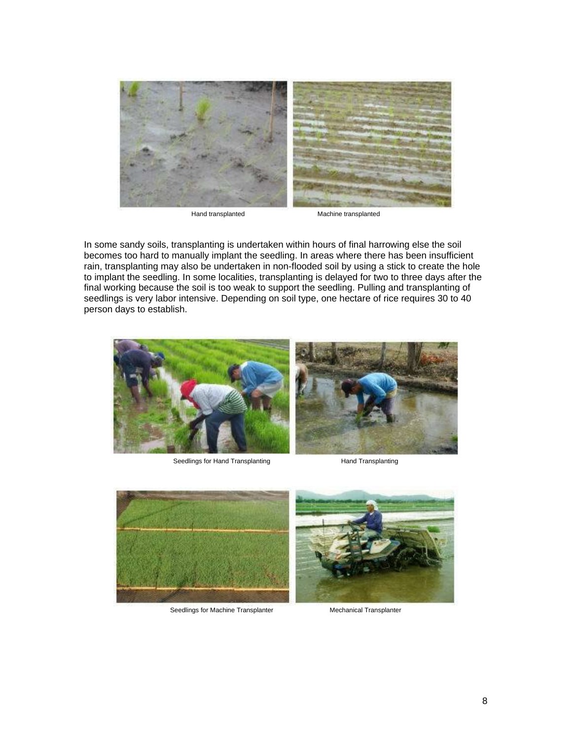

Hand transplanted Machine transplanted

In some sandy soils, transplanting is undertaken within hours of final harrowing else the soil becomes too hard to manually implant the seedling. In areas where there has been insufficient rain, transplanting may also be undertaken in non-flooded soil by using a stick to create the hole to implant the seedling. In some localities, transplanting is delayed for two to three days after the final working because the soil is too weak to support the seedling. Pulling and transplanting of seedlings is very labor intensive. Depending on soil type, one hectare of rice requires 30 to 40 person days to establish.



Seedlings for Hand Transplanting **Hand Transplanting** Hand Transplanting



Seedlings for Machine Transplanter Mechanical Transplanter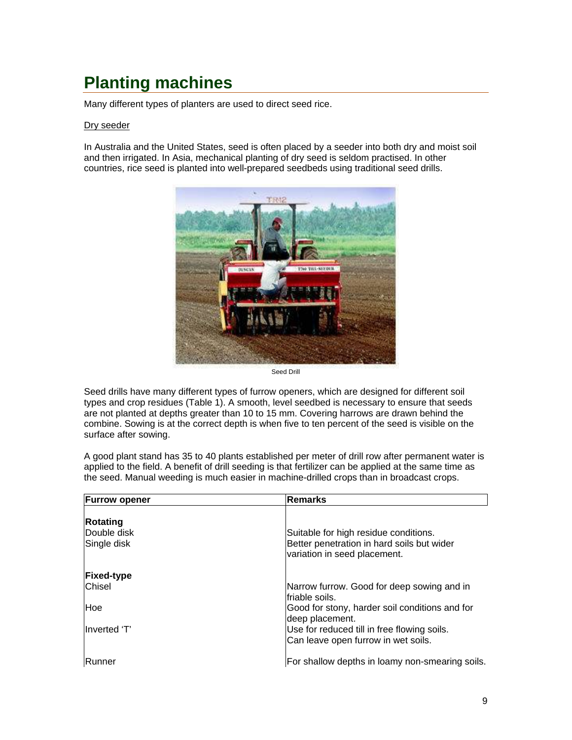# <span id="page-8-0"></span>**Planting machines**

Many different types of planters are used to direct seed rice.

#### Dry seeder

In Australia and the United States, seed is often placed by a seeder into both dry and moist soil and then irrigated. In Asia, mechanical planting of dry seed is seldom practised. In other countries, rice seed is planted into well-prepared seedbeds using traditional seed drills.



Seed Drill

Seed drills have many different types of furrow openers, which are designed for different soil types and crop residues (Table 1). A smooth, level seedbed is necessary to ensure that seeds are not planted at depths greater than 10 to 15 mm. Covering harrows are drawn behind the combine. Sowing is at the correct depth is when five to ten percent of the seed is visible on the surface after sowing.

A good plant stand has 35 to 40 plants established per meter of drill row after permanent water is applied to the field. A benefit of drill seeding is that fertilizer can be applied at the same time as the seed. Manual weeding is much easier in machine-drilled crops than in broadcast crops.

| <b>Furrow opener</b>                   | <b>Remarks</b>                                                                                                      |
|----------------------------------------|---------------------------------------------------------------------------------------------------------------------|
| Rotating<br>Double disk<br>Single disk | Suitable for high residue conditions.<br>Better penetration in hard soils but wider<br>variation in seed placement. |
| <b>Fixed-type</b><br><b>Chisel</b>     | Narrow furrow. Good for deep sowing and in<br>friable soils.                                                        |
| <b>Hoe</b>                             | Good for stony, harder soil conditions and for<br>deep placement.                                                   |
| Inverted 'T'                           | Use for reduced till in free flowing soils.<br>Can leave open furrow in wet soils.                                  |
| <b>Runner</b>                          | For shallow depths in loamy non-smearing soils.                                                                     |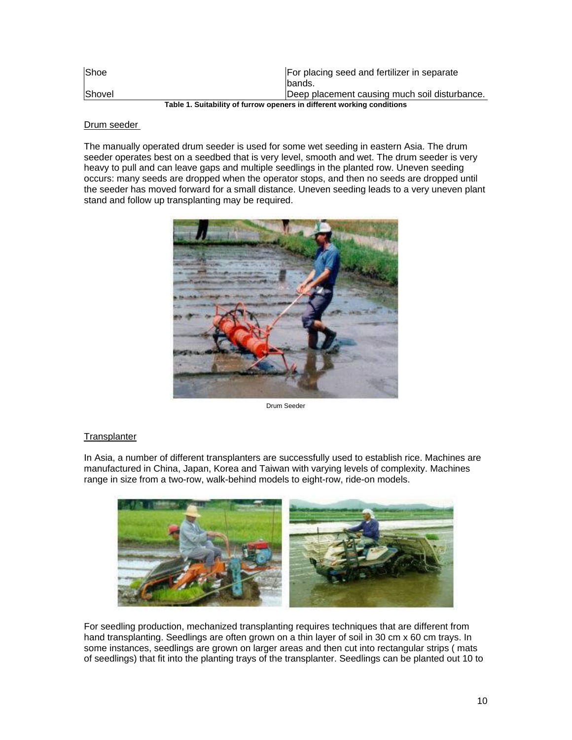| <b>Shoe</b>                                                             | For placing seed and fertilizer in separate   |  |  |
|-------------------------------------------------------------------------|-----------------------------------------------|--|--|
|                                                                         | lbands.                                       |  |  |
| Shovel                                                                  | Deep placement causing much soil disturbance. |  |  |
| Toble 1. Cuitability of furrow anonara in different working conditions. |                                               |  |  |

**Table 1. Suitability of furrow openers in different working conditions**

#### Drum seeder

The manually operated drum seeder is used for some wet seeding in eastern Asia. The drum seeder operates best on a seedbed that is very level, smooth and wet. The drum seeder is very heavy to pull and can leave gaps and multiple seedlings in the planted row. Uneven seeding occurs: many seeds are dropped when the operator stops, and then no seeds are dropped until the seeder has moved forward for a small distance. Uneven seeding leads to a very uneven plant stand and follow up transplanting may be required.



Drum Seeder

#### **Transplanter**

In Asia, a number of different transplanters are successfully used to establish rice. Machines are manufactured in China, Japan, Korea and Taiwan with varying levels of complexity. Machines range in size from a two-row, walk-behind models to eight-row, ride-on models.



For seedling production, mechanized transplanting requires techniques that are different from hand transplanting. Seedlings are often grown on a thin layer of soil in 30 cm x 60 cm trays. In some instances, seedlings are grown on larger areas and then cut into rectangular strips ( mats of seedlings) that fit into the planting trays of the transplanter. Seedlings can be planted out 10 to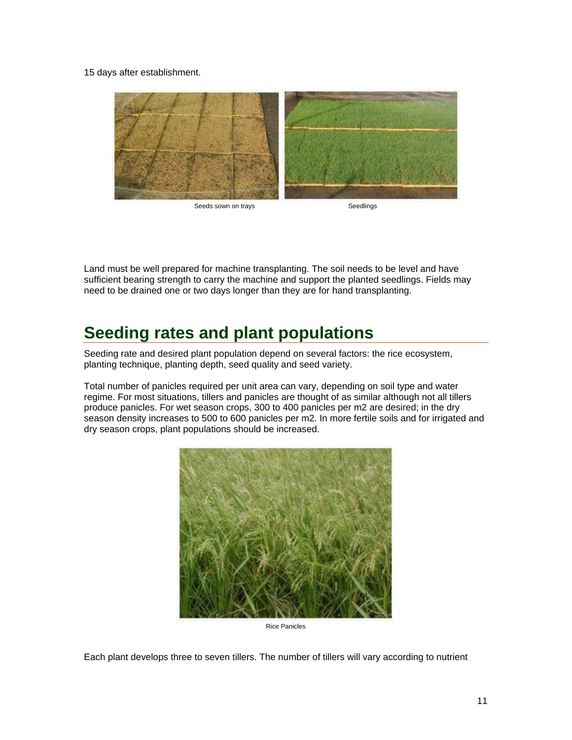<span id="page-10-0"></span>15 days after establishment.



Land must be well prepared for machine transplanting. The soil needs to be level and have sufficient bearing strength to carry the machine and support the planted seedlings. Fields may need to be drained one or two days longer than they are for hand transplanting.

# **Seeding rates and plant populations**

Seeding rate and desired plant population depend on several factors: the rice ecosystem, planting technique, planting depth, seed quality and seed variety.

Total number of panicles required per unit area can vary, depending on soil type and water regime. For most situations, tillers and panicles are thought of as similar although not all tillers produce panicles. For wet season crops, 300 to 400 panicles per m2 are desired; in the dry season density increases to 500 to 600 panicles per m2. In more fertile soils and for irrigated and dry season crops, plant populations should be increased.



Rice Panicles

Each plant develops three to seven tillers. The number of tillers will vary according to nutrient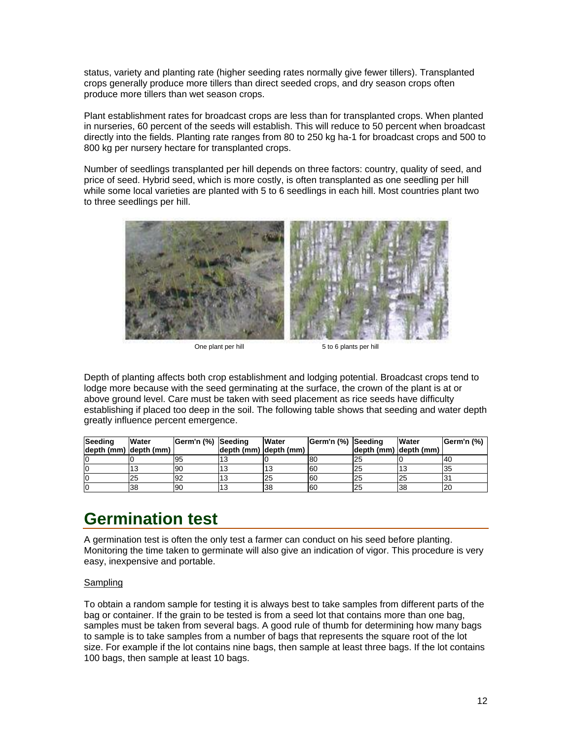<span id="page-11-0"></span>status, variety and planting rate (higher seeding rates normally give fewer tillers). Transplanted crops generally produce more tillers than direct seeded crops, and dry season crops often produce more tillers than wet season crops.

Plant establishment rates for broadcast crops are less than for transplanted crops. When planted in nurseries, 60 percent of the seeds will establish. This will reduce to 50 percent when broadcast directly into the fields. Planting rate ranges from 80 to 250 kg ha-1 for broadcast crops and 500 to 800 kg per nursery hectare for transplanted crops.

Number of seedlings transplanted per hill depends on three factors: country, quality of seed, and price of seed. Hybrid seed, which is more costly, is often transplanted as one seedling per hill while some local varieties are planted with 5 to 6 seedlings in each hill. Most countries plant two to three seedlings per hill.



One plant per hill 5 to 6 plants per hill

Depth of planting affects both crop establishment and lodging potential. Broadcast crops tend to lodge more because with the seed germinating at the surface, the crown of the plant is at or above ground level. Care must be taken with seed placement as rice seeds have difficulty establishing if placed too deep in the soil. The following table shows that seeding and water depth greatly influence percent emergence.

| Seeding<br>depth (mm) depth (mm) | Water | Germ'n (%) Seeding | depth (mm) depth (mm) | Water | Germ'n (%) Seeding | depth (mm) depth (mm) | Water | Germ'n (%) |
|----------------------------------|-------|--------------------|-----------------------|-------|--------------------|-----------------------|-------|------------|
|                                  |       | 195                |                       |       | 80                 | 25                    |       | '40        |
| lO                               |       | 90                 |                       | 13    | <b>60</b>          | 25                    |       | 35         |
| lO                               | 25    | 92                 |                       | 25    | 60                 | 25                    |       |            |
| lO                               | 38    | 90                 |                       | 38    | 60                 | 25                    | 38    | 20         |

## **Germination test**

A germination test is often the only test a farmer can conduct on his seed before planting. Monitoring the time taken to germinate will also give an indication of vigor. This procedure is very easy, inexpensive and portable.

#### **Sampling**

To obtain a random sample for testing it is always best to take samples from different parts of the bag or container. If the grain to be tested is from a seed lot that contains more than one bag, samples must be taken from several bags. A good rule of thumb for determining how many bags to sample is to take samples from a number of bags that represents the square root of the lot size. For example if the lot contains nine bags, then sample at least three bags. If the lot contains 100 bags, then sample at least 10 bags.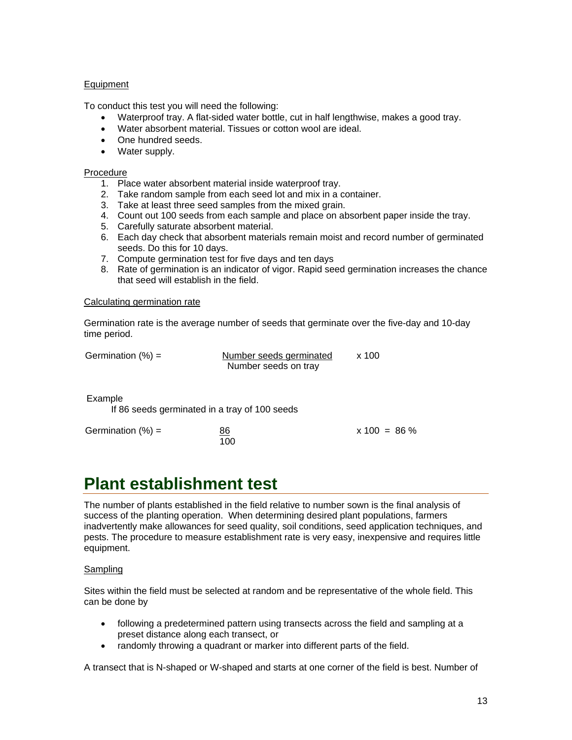#### <span id="page-12-0"></span>Equipment

To conduct this test you will need the following:

- Waterproof tray. A flat-sided water bottle, cut in half lengthwise, makes a good tray.
- Water absorbent material. Tissues or cotton wool are ideal.
- One hundred seeds.
- Water supply.

#### Procedure

- 1. Place water absorbent material inside waterproof tray.
- 2. Take random sample from each seed lot and mix in a container.
- 3. Take at least three seed samples from the mixed grain.
- 4. Count out 100 seeds from each sample and place on absorbent paper inside the tray.
- 5. Carefully saturate absorbent material.
- 6. Each day check that absorbent materials remain moist and record number of germinated seeds. Do this for 10 days.
- 7. Compute germination test for five days and ten days
- 8. Rate of germination is an indicator of vigor. Rapid seed germination increases the chance that seed will establish in the field.

#### Calculating germination rate

Germination rate is the average number of seeds that germinate over the five-day and 10-day time period.

Germination  $(\%) =$  Number seeds germinated  $\times 100$ Number seeds on tray

 $x 100 = 86 \%$ 

Example

If 86 seeds germinated in a tray of 100 seeds

| Germination $(\%) =$ | 86  |
|----------------------|-----|
|                      | 100 |

### **Plant establishment test**

The number of plants established in the field relative to number sown is the final analysis of success of the planting operation. When determining desired plant populations, farmers inadvertently make allowances for seed quality, soil conditions, seed application techniques, and pests. The procedure to measure establishment rate is very easy, inexpensive and requires little equipment.

#### **Sampling**

Sites within the field must be selected at random and be representative of the whole field. This can be done by

- following a predetermined pattern using transects across the field and sampling at a preset distance along each transect, or
- randomly throwing a quadrant or marker into different parts of the field.

A transect that is N-shaped or W-shaped and starts at one corner of the field is best. Number of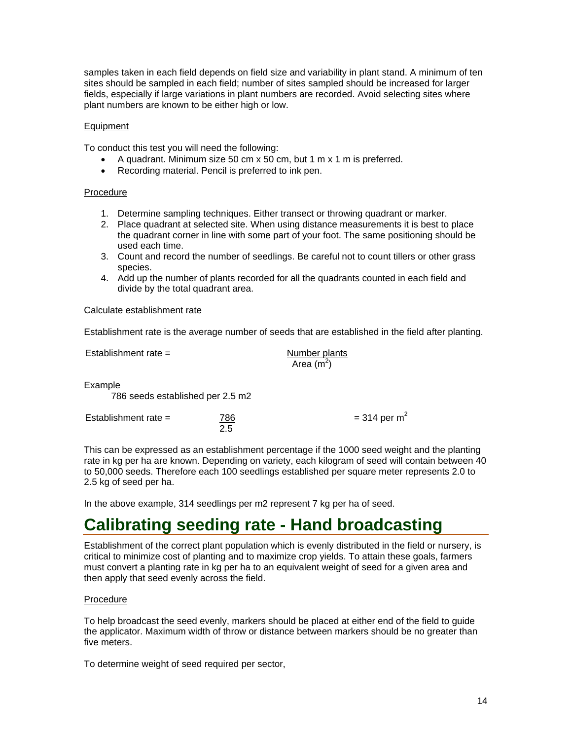<span id="page-13-0"></span>samples taken in each field depends on field size and variability in plant stand. A minimum of ten sites should be sampled in each field; number of sites sampled should be increased for larger fields, especially if large variations in plant numbers are recorded. Avoid selecting sites where plant numbers are known to be either high or low.

#### Equipment

To conduct this test you will need the following:

- A quadrant. Minimum size 50 cm x 50 cm, but 1 m x 1 m is preferred.
- Recording material. Pencil is preferred to ink pen.

#### Procedure

- 1. Determine sampling techniques. Either transect or throwing quadrant or marker.
- 2. Place quadrant at selected site. When using distance measurements it is best to place the quadrant corner in line with some part of your foot. The same positioning should be used each time.
- 3. Count and record the number of seedlings. Be careful not to count tillers or other grass species.
- 4. Add up the number of plants recorded for all the quadrants counted in each field and divide by the total quadrant area.

#### Calculate establishment rate

Establishment rate is the average number of seeds that are established in the field after planting.

| Establishment rate $=$                      |            | Number plants<br>Area $(m2)$ |                 |
|---------------------------------------------|------------|------------------------------|-----------------|
| Example<br>786 seeds established per 2.5 m2 |            |                              |                 |
| Establishment rate $=$                      | 786<br>2.5 |                              | = 314 per $m^2$ |

This can be expressed as an establishment percentage if the 1000 seed weight and the planting rate in kg per ha are known. Depending on variety, each kilogram of seed will contain between 40 to 50,000 seeds. Therefore each 100 seedlings established per square meter represents 2.0 to 2.5 kg of seed per ha.

In the above example, 314 seedlings per m2 represent 7 kg per ha of seed.

### **Calibrating seeding rate - Hand broadcasting**

Establishment of the correct plant population which is evenly distributed in the field or nursery, is critical to minimize cost of planting and to maximize crop yields. To attain these goals, farmers must convert a planting rate in kg per ha to an equivalent weight of seed for a given area and then apply that seed evenly across the field.

#### Procedure

To help broadcast the seed evenly, markers should be placed at either end of the field to guide the applicator. Maximum width of throw or distance between markers should be no greater than five meters.

To determine weight of seed required per sector,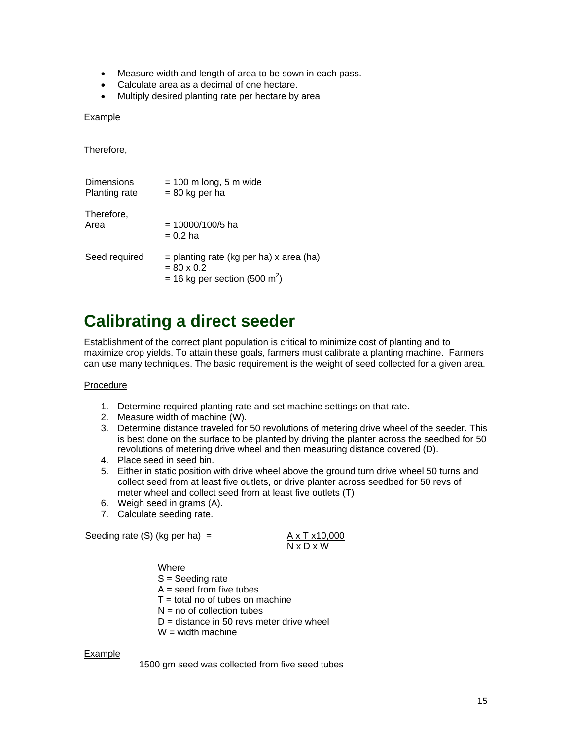- <span id="page-14-0"></span>• Measure width and length of area to be sown in each pass.
- Calculate area as a decimal of one hectare.
- Multiply desired planting rate per hectare by area

#### Example

Therefore,

| Dimensions    | $= 100$ m long, 5 m wide                                                                                    |
|---------------|-------------------------------------------------------------------------------------------------------------|
| Planting rate | $= 80$ kg per ha                                                                                            |
| Therefore,    | $= 10000/100/5$ ha                                                                                          |
| Area          | $= 0.2$ ha                                                                                                  |
| Seed required | $=$ planting rate (kg per ha) x area (ha)<br>$= 80 \times 0.2$<br>= 16 kg per section (500 m <sup>2</sup> ) |

## **Calibrating a direct seeder**

Establishment of the correct plant population is critical to minimize cost of planting and to maximize crop yields. To attain these goals, farmers must calibrate a planting machine. Farmers can use many techniques. The basic requirement is the weight of seed collected for a given area.

#### Procedure

- 1. Determine required planting rate and set machine settings on that rate.
- 2. Measure width of machine (W).
- 3. Determine distance traveled for 50 revolutions of metering drive wheel of the seeder. This is best done on the surface to be planted by driving the planter across the seedbed for 50 revolutions of metering drive wheel and then measuring distance covered (D).
- 4. Place seed in seed bin.
- 5. Either in static position with drive wheel above the ground turn drive wheel 50 turns and collect seed from at least five outlets, or drive planter across seedbed for 50 revs of meter wheel and collect seed from at least five outlets (T)
- 6. Weigh seed in grams (A).
- 7. Calculate seeding rate.

Seeding rate (S) (kg per ha) =  $\overline{A \times T \times 10,000}$ 

Seeding rate (S) (kg per ha) =

\n
$$
\begin{array}{rcl}\n\text{A} \times \text{T} \times \text{10,000} \\
\text{N} \times \text{D} \times \text{W}\n\end{array}
$$

**Where** S = Seeding rate  $A =$  seed from five tubes  $T =$  total no of tubes on machine  $N = no$  of collection tubes  $D =$  distance in 50 revs meter drive wheel  $W =$  width machine

#### Example

1500 gm seed was collected from five seed tubes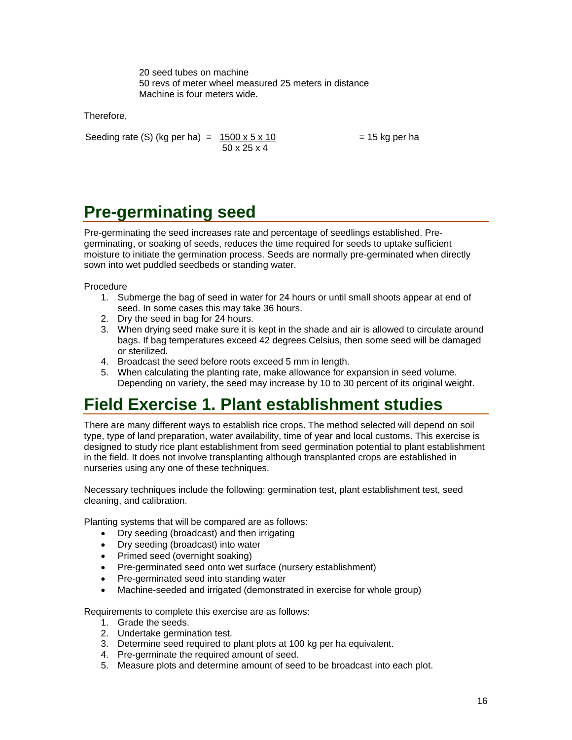20 seed tubes on machine 50 revs of meter wheel measured 25 meters in distance Machine is four meters wide.

<span id="page-15-0"></span>Therefore,

Seeding rate (S) (kg per ha) =  $1500 \times 5 \times 10$  = 15 kg per ha 50 x 25 x 4

# **Pre-germinating seed**

Pre-germinating the seed increases rate and percentage of seedlings established. Pregerminating, or soaking of seeds, reduces the time required for seeds to uptake sufficient moisture to initiate the germination process. Seeds are normally pre-germinated when directly sown into wet puddled seedbeds or standing water.

Procedure

- 1. Submerge the bag of seed in water for 24 hours or until small shoots appear at end of seed. In some cases this may take 36 hours.
- 2. Dry the seed in bag for 24 hours.
- 3. When drying seed make sure it is kept in the shade and air is allowed to circulate around bags. If bag temperatures exceed 42 degrees Celsius, then some seed will be damaged or sterilized.
- 4. Broadcast the seed before roots exceed 5 mm in length.
- 5. When calculating the planting rate, make allowance for expansion in seed volume. Depending on variety, the seed may increase by 10 to 30 percent of its original weight.

## **Field Exercise 1. Plant establishment studies**

There are many different ways to establish rice crops. The method selected will depend on soil type, type of land preparation, water availability, time of year and local customs. This exercise is designed to study rice plant establishment from seed germination potential to plant establishment in the field. It does not involve transplanting although transplanted crops are established in nurseries using any one of these techniques.

Necessary techniques include the following: germination test, plant establishment test, seed cleaning, and calibration.

Planting systems that will be compared are as follows:

- Dry seeding (broadcast) and then irrigating
- Dry seeding (broadcast) into water
- Primed seed (overnight soaking)
- Pre-germinated seed onto wet surface (nursery establishment)
- Pre-germinated seed into standing water
- Machine-seeded and irrigated (demonstrated in exercise for whole group)

Requirements to complete this exercise are as follows:

- 1. Grade the seeds.
- 2. Undertake germination test.
- 3. Determine seed required to plant plots at 100 kg per ha equivalent.
- 4. Pre-germinate the required amount of seed.
- 5. Measure plots and determine amount of seed to be broadcast into each plot.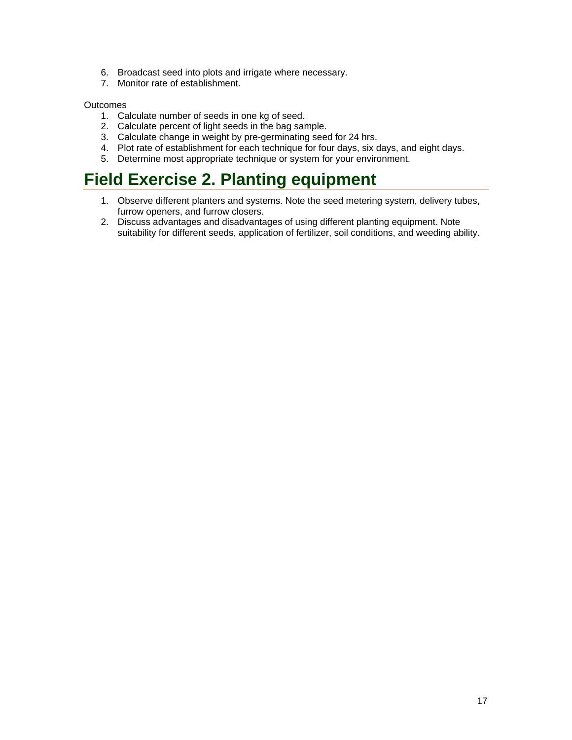- <span id="page-16-0"></span>6. Broadcast seed into plots and irrigate where necessary.
- 7. Monitor rate of establishment.

#### **Outcomes**

- 1. Calculate number of seeds in one kg of seed.
- 2. Calculate percent of light seeds in the bag sample.
- 3. Calculate change in weight by pre-germinating seed for 24 hrs.
- 4. Plot rate of establishment for each technique for four days, six days, and eight days.
- 5. Determine most appropriate technique or system for your environment.

## **Field Exercise 2. Planting equipment**

- 1. Observe different planters and systems. Note the seed metering system, delivery tubes, furrow openers, and furrow closers.
- 2. Discuss advantages and disadvantages of using different planting equipment. Note suitability for different seeds, application of fertilizer, soil conditions, and weeding ability.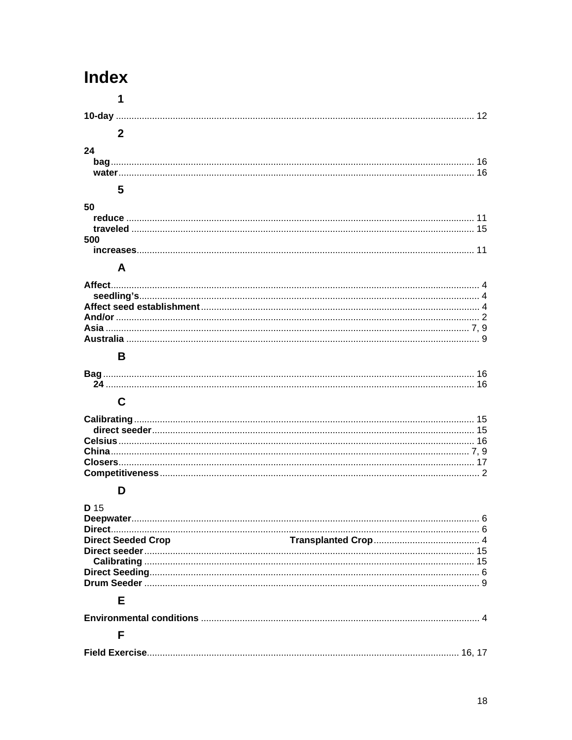# **Index**

|      | 1                         |  |
|------|---------------------------|--|
|      |                           |  |
|      | $\mathbf{2}$              |  |
|      |                           |  |
| 24   |                           |  |
|      |                           |  |
|      |                           |  |
|      | 5                         |  |
| 50   |                           |  |
|      |                           |  |
|      |                           |  |
| 500  |                           |  |
|      |                           |  |
|      | A                         |  |
|      |                           |  |
|      |                           |  |
|      |                           |  |
|      |                           |  |
|      |                           |  |
|      |                           |  |
|      | B                         |  |
|      |                           |  |
|      |                           |  |
|      | $\mathbf C$               |  |
|      |                           |  |
|      |                           |  |
|      |                           |  |
|      |                           |  |
|      |                           |  |
|      |                           |  |
|      | D                         |  |
| D 15 |                           |  |
|      |                           |  |
|      |                           |  |
|      | <b>Direct Seeded Crop</b> |  |
|      |                           |  |
|      |                           |  |
|      |                           |  |
|      | Е                         |  |
|      |                           |  |
|      |                           |  |

### $\bar{\mathsf{F}}$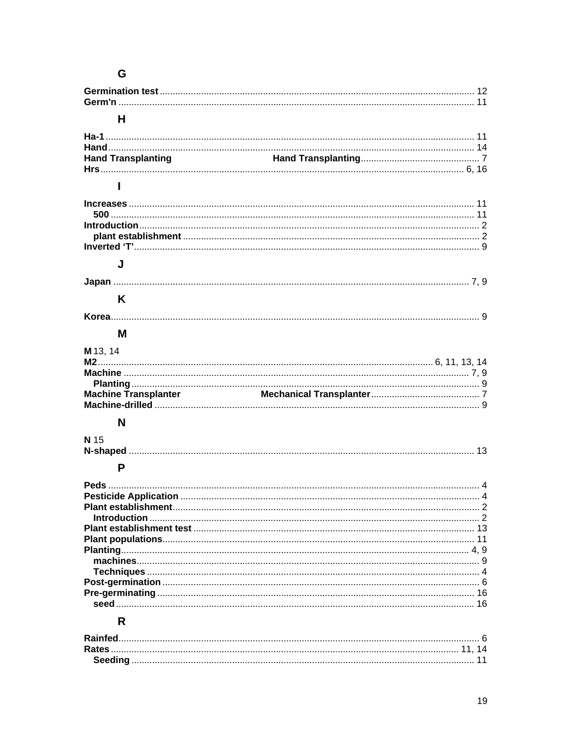### ${\bf G}$

| н                           |  |
|-----------------------------|--|
|                             |  |
|                             |  |
| <b>Hand Transplanting</b>   |  |
|                             |  |
|                             |  |
|                             |  |
|                             |  |
|                             |  |
|                             |  |
|                             |  |
|                             |  |
| J                           |  |
|                             |  |
|                             |  |
| K                           |  |
|                             |  |
|                             |  |
| м                           |  |
| M 13, 14                    |  |
|                             |  |
|                             |  |
|                             |  |
| <b>Machine Transplanter</b> |  |
|                             |  |
|                             |  |
| N                           |  |
| N 15                        |  |
|                             |  |
|                             |  |
| P                           |  |
|                             |  |
|                             |  |
|                             |  |
|                             |  |
|                             |  |
|                             |  |
|                             |  |
|                             |  |
|                             |  |
|                             |  |
|                             |  |
|                             |  |
|                             |  |
| R.                          |  |
|                             |  |
|                             |  |
|                             |  |
|                             |  |